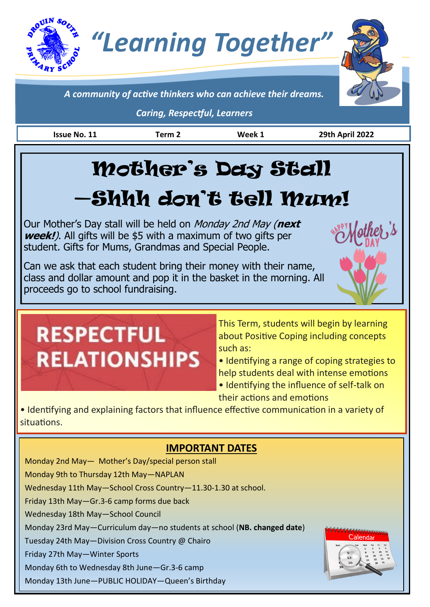# *"Learning Together"*



he<sub>t</sub>,'s

*A community of active thinkers who can achieve their dreams.*

*Caring, Respectful, Learners*

**Issue No. 11 Term 2 Week 1 29th April 2022**

# Mother's Day Stall

## —Shhh don't tell Mum!

Our Mother's Day stall will be held on Monday 2nd May (**next week!**). All gifts will be \$5 with a maximum of two gifts per student. Gifts for Mums, Grandmas and Special People.

Can we ask that each student bring their money with their name, class and dollar amount and pop it in the basket in the morning. All proceeds go to school fundraising.

**RESPECTFUL RELATIONSHIPS**  This Term, students will begin by learning about Positive Coping including concepts such as:

• Identifying a range of coping strategies to help students deal with intense emotions

• Identifying the influence of self-talk on their actions and emotions

• Identifying and explaining factors that influence effective communication in a variety of situations.

### **IMPORTANT DATES**

Monday 2nd May— Mother's Day/special person stall Monday 9th to Thursday 12th May—NAPLAN Wednesday 11th May—School Cross Country—11.30-1.30 at school. Friday 13th May—Gr.3-6 camp forms due back Wednesday 18th May—School Council Monday 23rd May—Curriculum day—no students at school (**NB. changed date**) aland Tuesday 24th May—Division Cross Country @ Chairo Friday 27th May—Winter Sports Monday 6th to Wednesday 8th June—Gr.3-6 camp Monday 13th June—PUBLIC HOLIDAY—Queen's Birthday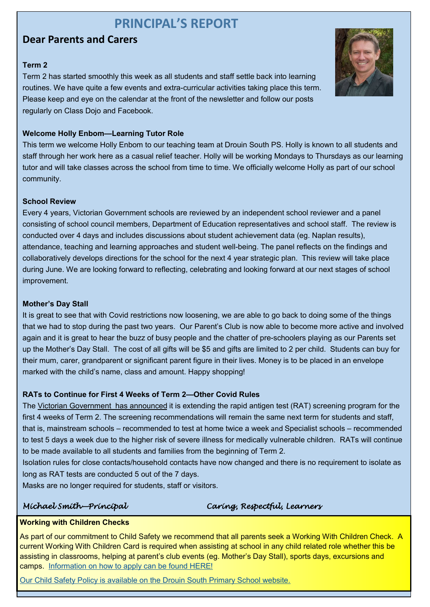## **PRINCIPAL'S REPORT**

#### **Dear Parents and Carers**

#### **Term 2**

Term 2 has started smoothly this week as all students and staff settle back into learning routines. We have quite a few events and extra-curricular activities taking place this term. Please keep and eye on the calendar at the front of the newsletter and follow our posts regularly on Class Dojo and Facebook.

#### **Welcome Holly Enbom—Learning Tutor Role**

This term we welcome Holly Enbom to our teaching team at Drouin South PS. Holly is known to all students and staff through her work here as a casual relief teacher. Holly will be working Mondays to Thursdays as our learning tutor and will take classes across the school from time to time. We officially welcome Holly as part of our school community.

#### **School Review**

Every 4 years, Victorian Government schools are reviewed by an independent school reviewer and a panel consisting of school council members, Department of Education representatives and school staff. The review is conducted over 4 days and includes discussions about student achievement data (eg. Naplan results), attendance, teaching and learning approaches and student well-being. The panel reflects on the findings and collaboratively develops directions for the school for the next 4 year strategic plan. This review will take place during June. We are looking forward to reflecting, celebrating and looking forward at our next stages of school improvement.

#### **Mother's Day Stall**

It is great to see that with Covid restrictions now loosening, we are able to go back to doing some of the things that we had to stop during the past two years. Our Parent's Club is now able to become more active and involved again and it is great to hear the buzz of busy people and the chatter of pre-schoolers playing as our Parents set up the Mother's Day Stall. The cost of all gifts will be \$5 and gifts are limited to 2 per child. Students can buy for their mum, carer, grandparent or significant parent figure in their lives. Money is to be placed in an envelope marked with the child's name, class and amount. Happy shopping!

#### **RATs to Continue for First 4 Weeks of Term 2—Other Covid Rules**

The [Victorian Government has announced](https://list.comms.educationupdates.vic.gov.au/track/click?u=770f4d1425f14b0d9936ca688e358872&id=a1c47dac5cb8d4aa&e=adff0ae3a2f400c2) it is extending the rapid antigen test (RAT) screening program for the first 4 weeks of Term 2. The screening recommendations will remain the same next term for students and staff, that is, mainstream schools – recommended to test at home twice a week and Specialist schools – recommended to test 5 days a week due to the higher risk of severe illness for medically vulnerable children. RATs will continue to be made available to all students and families from the beginning of Term 2.

Isolation rules for close contacts/household contacts have now changed and there is no requirement to isolate as long as RAT tests are conducted 5 out of the 7 days.

Masks are no longer required for students, staff or visitors.

#### *Michael Smith—Principal Caring, Respectful, Learners*

#### **Working with Children Checks**

As part of our commitment to Child Safety we recommend that all parents seek a Working With Children Check. A current Working With Children Card is required when assisting at school in any child related role whether this be assisting in classrooms, helping at parent's club events (eg. Mother's Day Stall), sports days, excursions and camps. [Information on how to apply can be found HERE!](https://www.workingwithchildren.vic.gov.au/individuals/applicants/how-to-apply)

[Our Child Safety Policy is available on the Drouin South Primary School website.](http://www.drouinsouth.vic.edu.au/about-us/child-safe-standards/)

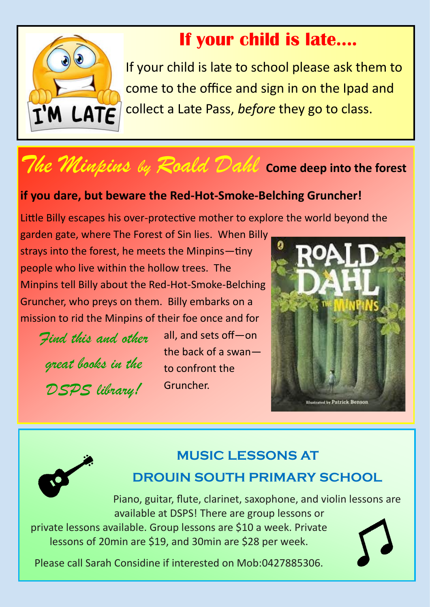

## **If your child is late….**

If your child is late to school please ask them to come to the office and sign in on the Ipad and collect a Late Pass, *before* they go to class.

## *The Minpins by Roald Dahl* **Come deep into the forest**

## **if you dare, but beware the Red-Hot-Smoke-Belching Gruncher!**

Little Billy escapes his over-protective mother to explore the world beyond the

garden gate, where The Forest of Sin lies. When Billy strays into the forest, he meets the Minpins—tiny people who live within the hollow trees. The Minpins tell Billy about the Red-Hot-Smoke-Belching Gruncher, who preys on them. Billy embarks on a mission to rid the Minpins of their foe once and for

*Find this and other great books in the DSPS library!*

all, and sets off—on the back of a swan to confront the Gruncher.





## **MUSIC LESSONS AT DROUIN SOUTH PRIMARY SCHOOL**

Piano, guitar, flute, clarinet, saxophone, and violin lessons are available at DSPS! There are group lessons or

private lessons available. Group lessons are \$10 a week. Private lessons of 20min are \$19, and 30min are \$28 per week.

Please call Sarah Considine if interested on Mob:0427885306.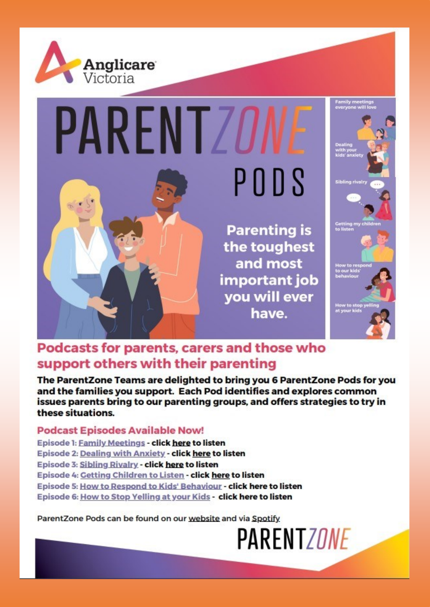

# **PARENTZO** PODS

**Parenting is** the toughest and most important job you will ever have.



## Podcasts for parents, carers and those who support others with their parenting

The ParentZone Teams are delighted to bring you 6 ParentZone Pods for you and the families you support. Each Pod identifies and explores common issues parents bring to our parenting groups, and offers strategies to try in these situations.

#### **Podcast Episodes Available Now!**

Episode 1: Family Meetings - click here to listen Episode 2: Dealing with Anxiety - click here to listen Episode 3: Sibling Rivalry - click here to listen Episode 4: Getting Children to Listen - click here to listen Episode 5: How to Respond to Kids' Behaviour - click here to listen Episode 6: How to Stop Yelling at your Kids - click here to listen

ParentZone Pods can be found on our website and via Spotify

**PARENTZONE**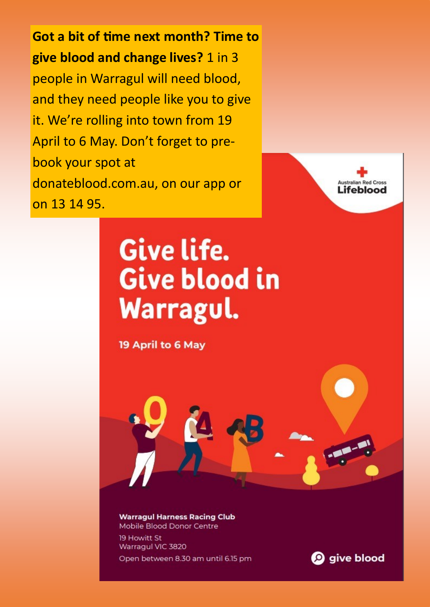Got a bit of time next month? Time to give blood and change lives? 1 in 3 people in Warragul will need blood, and they need people like you to give it. We're rolling into town from 19 April to 6 May. Don't forget to prebook your spot at donateblood.com.au, on our app or on 13 14 95.



# Give life. Give blood in Warragul.

19 April to 6 May



**Warragul Harness Racing Club** Mobile Blood Donor Centre 19 Howitt St Warragul VIC 3820

Open between 8.30 am until 6.15 pm